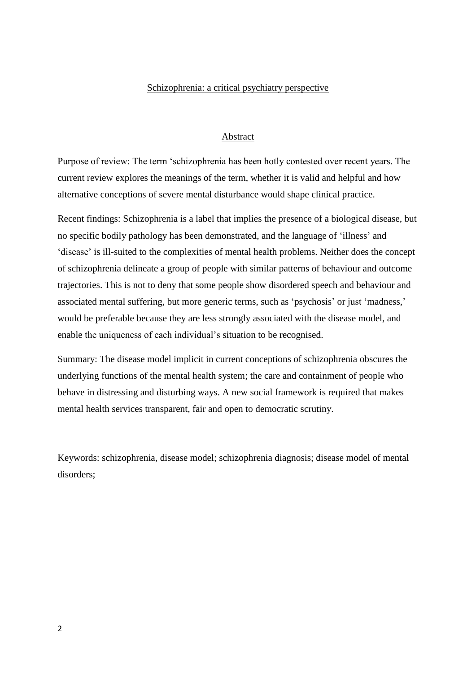# Schizophrenia: a critical psychiatry perspective

## **Abstract**

Purpose of review: The term 'schizophrenia has been hotly contested over recent years. The current review explores the meanings of the term, whether it is valid and helpful and how alternative conceptions of severe mental disturbance would shape clinical practice.

Recent findings: Schizophrenia is a label that implies the presence of a biological disease, but no specific bodily pathology has been demonstrated, and the language of 'illness' and 'disease' is ill-suited to the complexities of mental health problems. Neither does the concept of schizophrenia delineate a group of people with similar patterns of behaviour and outcome trajectories. This is not to deny that some people show disordered speech and behaviour and associated mental suffering, but more generic terms, such as 'psychosis' or just 'madness,' would be preferable because they are less strongly associated with the disease model, and enable the uniqueness of each individual's situation to be recognised.

Summary: The disease model implicit in current conceptions of schizophrenia obscures the underlying functions of the mental health system; the care and containment of people who behave in distressing and disturbing ways. A new social framework is required that makes mental health services transparent, fair and open to democratic scrutiny.

Keywords: schizophrenia, disease model; schizophrenia diagnosis; disease model of mental disorders;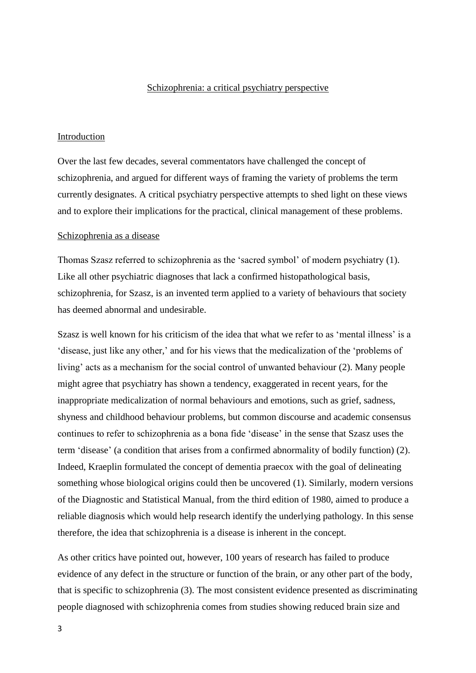## Schizophrenia: a critical psychiatry perspective

# Introduction

Over the last few decades, several commentators have challenged the concept of schizophrenia, and argued for different ways of framing the variety of problems the term currently designates. A critical psychiatry perspective attempts to shed light on these views and to explore their implications for the practical, clinical management of these problems.

#### Schizophrenia as a disease

Thomas Szasz referred to schizophrenia as the 'sacred symbol' of modern psychiatry (1). Like all other psychiatric diagnoses that lack a confirmed histopathological basis, schizophrenia, for Szasz, is an invented term applied to a variety of behaviours that society has deemed abnormal and undesirable.

Szasz is well known for his criticism of the idea that what we refer to as 'mental illness' is a 'disease, just like any other,' and for his views that the medicalization of the 'problems of living' acts as a mechanism for the social control of unwanted behaviour (2). Many people might agree that psychiatry has shown a tendency, exaggerated in recent years, for the inappropriate medicalization of normal behaviours and emotions, such as grief, sadness, shyness and childhood behaviour problems, but common discourse and academic consensus continues to refer to schizophrenia as a bona fide 'disease' in the sense that Szasz uses the term 'disease' (a condition that arises from a confirmed abnormality of bodily function) (2). Indeed, Kraeplin formulated the concept of dementia praecox with the goal of delineating something whose biological origins could then be uncovered (1). Similarly, modern versions of the Diagnostic and Statistical Manual, from the third edition of 1980, aimed to produce a reliable diagnosis which would help research identify the underlying pathology. In this sense therefore, the idea that schizophrenia is a disease is inherent in the concept.

As other critics have pointed out, however, 100 years of research has failed to produce evidence of any defect in the structure or function of the brain, or any other part of the body, that is specific to schizophrenia (3). The most consistent evidence presented as discriminating people diagnosed with schizophrenia comes from studies showing reduced brain size and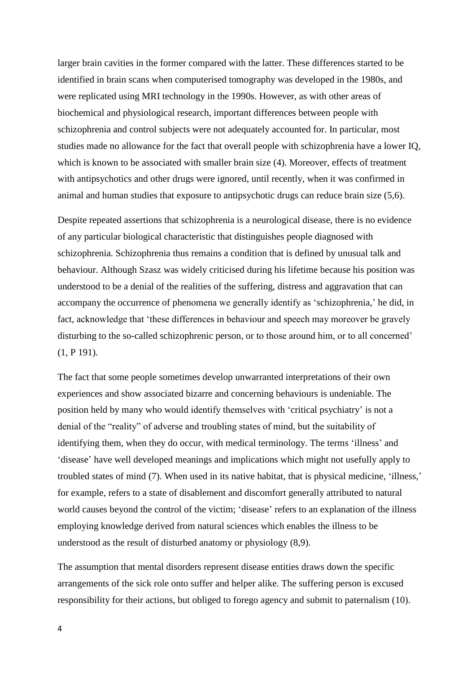larger brain cavities in the former compared with the latter. These differences started to be identified in brain scans when computerised tomography was developed in the 1980s, and were replicated using MRI technology in the 1990s. However, as with other areas of biochemical and physiological research, important differences between people with schizophrenia and control subjects were not adequately accounted for. In particular, most studies made no allowance for the fact that overall people with schizophrenia have a lower IQ, which is known to be associated with smaller brain size (4). Moreover, effects of treatment with antipsychotics and other drugs were ignored, until recently, when it was confirmed in animal and human studies that exposure to antipsychotic drugs can reduce brain size (5,6).

Despite repeated assertions that schizophrenia is a neurological disease, there is no evidence of any particular biological characteristic that distinguishes people diagnosed with schizophrenia. Schizophrenia thus remains a condition that is defined by unusual talk and behaviour. Although Szasz was widely criticised during his lifetime because his position was understood to be a denial of the realities of the suffering, distress and aggravation that can accompany the occurrence of phenomena we generally identify as 'schizophrenia,' he did, in fact, acknowledge that 'these differences in behaviour and speech may moreover be gravely disturbing to the so-called schizophrenic person, or to those around him, or to all concerned' (1, P 191).

The fact that some people sometimes develop unwarranted interpretations of their own experiences and show associated bizarre and concerning behaviours is undeniable. The position held by many who would identify themselves with 'critical psychiatry' is not a denial of the "reality" of adverse and troubling states of mind, but the suitability of identifying them, when they do occur, with medical terminology. The terms 'illness' and 'disease' have well developed meanings and implications which might not usefully apply to troubled states of mind (7). When used in its native habitat, that is physical medicine, 'illness,' for example, refers to a state of disablement and discomfort generally attributed to natural world causes beyond the control of the victim; 'disease' refers to an explanation of the illness employing knowledge derived from natural sciences which enables the illness to be understood as the result of disturbed anatomy or physiology (8,9).

The assumption that mental disorders represent disease entities draws down the specific arrangements of the sick role onto suffer and helper alike. The suffering person is excused responsibility for their actions, but obliged to forego agency and submit to paternalism (10).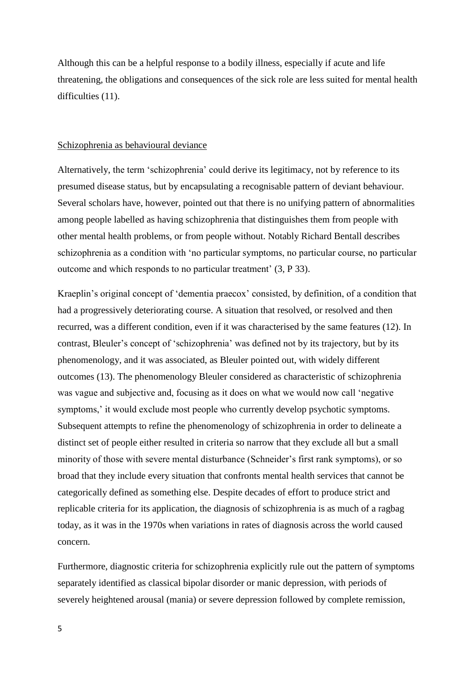Although this can be a helpful response to a bodily illness, especially if acute and life threatening, the obligations and consequences of the sick role are less suited for mental health difficulties  $(11)$ .

#### Schizophrenia as behavioural deviance

Alternatively, the term 'schizophrenia' could derive its legitimacy, not by reference to its presumed disease status, but by encapsulating a recognisable pattern of deviant behaviour. Several scholars have, however, pointed out that there is no unifying pattern of abnormalities among people labelled as having schizophrenia that distinguishes them from people with other mental health problems, or from people without. Notably Richard Bentall describes schizophrenia as a condition with 'no particular symptoms, no particular course, no particular outcome and which responds to no particular treatment' (3, P 33).

Kraeplin's original concept of 'dementia praecox' consisted, by definition, of a condition that had a progressively deteriorating course. A situation that resolved, or resolved and then recurred, was a different condition, even if it was characterised by the same features (12). In contrast, Bleuler's concept of 'schizophrenia' was defined not by its trajectory, but by its phenomenology, and it was associated, as Bleuler pointed out, with widely different outcomes (13). The phenomenology Bleuler considered as characteristic of schizophrenia was vague and subjective and, focusing as it does on what we would now call 'negative symptoms,' it would exclude most people who currently develop psychotic symptoms. Subsequent attempts to refine the phenomenology of schizophrenia in order to delineate a distinct set of people either resulted in criteria so narrow that they exclude all but a small minority of those with severe mental disturbance (Schneider's first rank symptoms), or so broad that they include every situation that confronts mental health services that cannot be categorically defined as something else. Despite decades of effort to produce strict and replicable criteria for its application, the diagnosis of schizophrenia is as much of a ragbag today, as it was in the 1970s when variations in rates of diagnosis across the world caused concern.

Furthermore, diagnostic criteria for schizophrenia explicitly rule out the pattern of symptoms separately identified as classical bipolar disorder or manic depression, with periods of severely heightened arousal (mania) or severe depression followed by complete remission,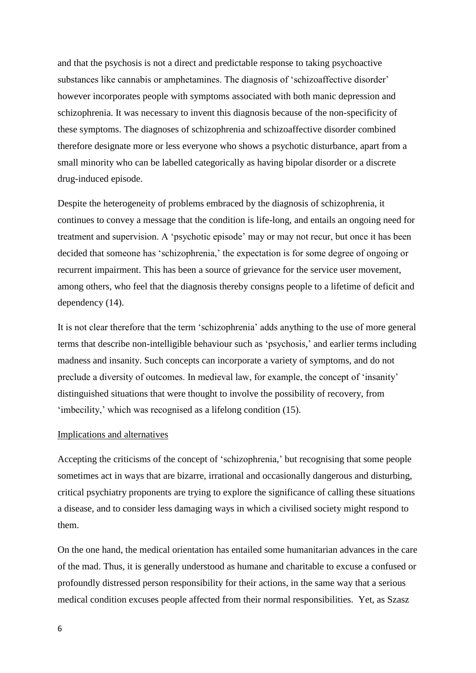and that the psychosis is not a direct and predictable response to taking psychoactive substances like cannabis or amphetamines. The diagnosis of 'schizoaffective disorder' however incorporates people with symptoms associated with both manic depression and schizophrenia. It was necessary to invent this diagnosis because of the non-specificity of these symptoms. The diagnoses of schizophrenia and schizoaffective disorder combined therefore designate more or less everyone who shows a psychotic disturbance, apart from a small minority who can be labelled categorically as having bipolar disorder or a discrete drug-induced episode.

Despite the heterogeneity of problems embraced by the diagnosis of schizophrenia, it continues to convey a message that the condition is life-long, and entails an ongoing need for treatment and supervision. A 'psychotic episode' may or may not recur, but once it has been decided that someone has 'schizophrenia,' the expectation is for some degree of ongoing or recurrent impairment. This has been a source of grievance for the service user movement, among others, who feel that the diagnosis thereby consigns people to a lifetime of deficit and dependency (14).

It is not clear therefore that the term 'schizophrenia' adds anything to the use of more general terms that describe non-intelligible behaviour such as 'psychosis,' and earlier terms including madness and insanity. Such concepts can incorporate a variety of symptoms, and do not preclude a diversity of outcomes. In medieval law, for example, the concept of 'insanity' distinguished situations that were thought to involve the possibility of recovery, from 'imbecility,' which was recognised as a lifelong condition (15).

## Implications and alternatives

Accepting the criticisms of the concept of 'schizophrenia,' but recognising that some people sometimes act in ways that are bizarre, irrational and occasionally dangerous and disturbing, critical psychiatry proponents are trying to explore the significance of calling these situations a disease, and to consider less damaging ways in which a civilised society might respond to them.

On the one hand, the medical orientation has entailed some humanitarian advances in the care of the mad. Thus, it is generally understood as humane and charitable to excuse a confused or profoundly distressed person responsibility for their actions, in the same way that a serious medical condition excuses people affected from their normal responsibilities. Yet, as Szasz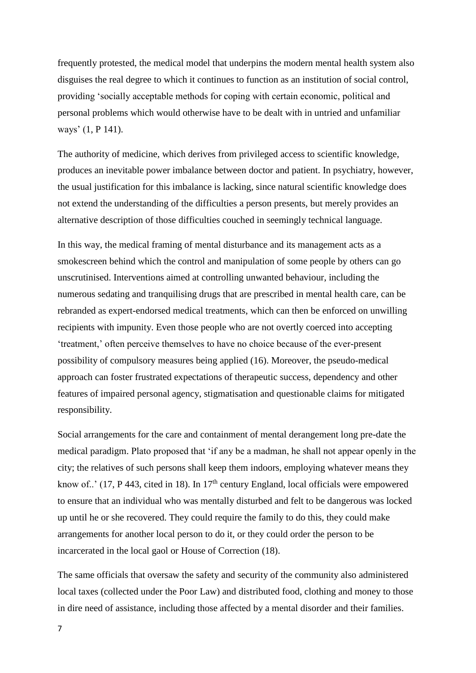frequently protested, the medical model that underpins the modern mental health system also disguises the real degree to which it continues to function as an institution of social control, providing 'socially acceptable methods for coping with certain economic, political and personal problems which would otherwise have to be dealt with in untried and unfamiliar ways' (1, P 141).

The authority of medicine, which derives from privileged access to scientific knowledge, produces an inevitable power imbalance between doctor and patient. In psychiatry, however, the usual justification for this imbalance is lacking, since natural scientific knowledge does not extend the understanding of the difficulties a person presents, but merely provides an alternative description of those difficulties couched in seemingly technical language.

In this way, the medical framing of mental disturbance and its management acts as a smokescreen behind which the control and manipulation of some people by others can go unscrutinised. Interventions aimed at controlling unwanted behaviour, including the numerous sedating and tranquilising drugs that are prescribed in mental health care, can be rebranded as expert-endorsed medical treatments, which can then be enforced on unwilling recipients with impunity. Even those people who are not overtly coerced into accepting 'treatment,' often perceive themselves to have no choice because of the ever-present possibility of compulsory measures being applied (16). Moreover, the pseudo-medical approach can foster frustrated expectations of therapeutic success, dependency and other features of impaired personal agency, stigmatisation and questionable claims for mitigated responsibility.

Social arrangements for the care and containment of mental derangement long pre-date the medical paradigm. Plato proposed that 'if any be a madman, he shall not appear openly in the city; the relatives of such persons shall keep them indoors, employing whatever means they know of..' (17, P 443, cited in 18). In 17<sup>th</sup> century England, local officials were empowered to ensure that an individual who was mentally disturbed and felt to be dangerous was locked up until he or she recovered. They could require the family to do this, they could make arrangements for another local person to do it, or they could order the person to be incarcerated in the local gaol or House of Correction (18).

The same officials that oversaw the safety and security of the community also administered local taxes (collected under the Poor Law) and distributed food, clothing and money to those in dire need of assistance, including those affected by a mental disorder and their families.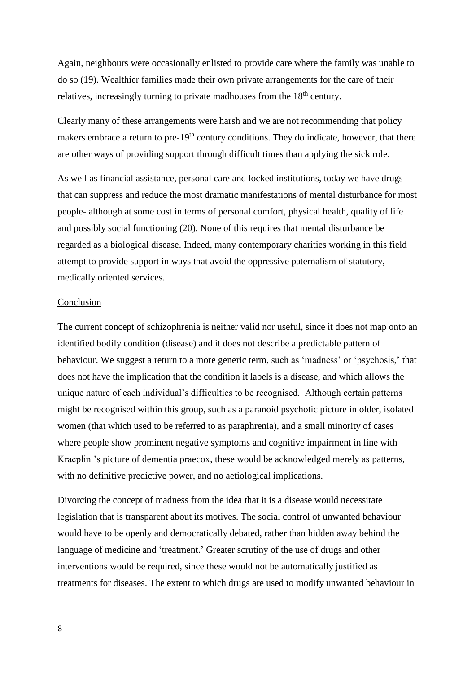Again, neighbours were occasionally enlisted to provide care where the family was unable to do so (19). Wealthier families made their own private arrangements for the care of their relatives, increasingly turning to private madhouses from the 18<sup>th</sup> century.

Clearly many of these arrangements were harsh and we are not recommending that policy makers embrace a return to pre- $19<sup>th</sup>$  century conditions. They do indicate, however, that there are other ways of providing support through difficult times than applying the sick role.

As well as financial assistance, personal care and locked institutions, today we have drugs that can suppress and reduce the most dramatic manifestations of mental disturbance for most people- although at some cost in terms of personal comfort, physical health, quality of life and possibly social functioning (20). None of this requires that mental disturbance be regarded as a biological disease. Indeed, many contemporary charities working in this field attempt to provide support in ways that avoid the oppressive paternalism of statutory, medically oriented services.

# Conclusion

The current concept of schizophrenia is neither valid nor useful, since it does not map onto an identified bodily condition (disease) and it does not describe a predictable pattern of behaviour. We suggest a return to a more generic term, such as 'madness' or 'psychosis,' that does not have the implication that the condition it labels is a disease, and which allows the unique nature of each individual's difficulties to be recognised. Although certain patterns might be recognised within this group, such as a paranoid psychotic picture in older, isolated women (that which used to be referred to as paraphrenia), and a small minority of cases where people show prominent negative symptoms and cognitive impairment in line with Kraeplin 's picture of dementia praecox, these would be acknowledged merely as patterns, with no definitive predictive power, and no aetiological implications.

Divorcing the concept of madness from the idea that it is a disease would necessitate legislation that is transparent about its motives. The social control of unwanted behaviour would have to be openly and democratically debated, rather than hidden away behind the language of medicine and 'treatment.' Greater scrutiny of the use of drugs and other interventions would be required, since these would not be automatically justified as treatments for diseases. The extent to which drugs are used to modify unwanted behaviour in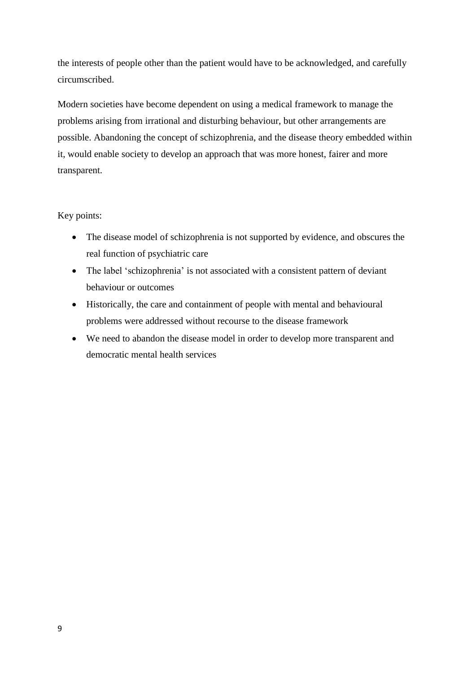the interests of people other than the patient would have to be acknowledged, and carefully circumscribed.

Modern societies have become dependent on using a medical framework to manage the problems arising from irrational and disturbing behaviour, but other arrangements are possible. Abandoning the concept of schizophrenia, and the disease theory embedded within it, would enable society to develop an approach that was more honest, fairer and more transparent.

# Key points:

- The disease model of schizophrenia is not supported by evidence, and obscures the real function of psychiatric care
- The label 'schizophrenia' is not associated with a consistent pattern of deviant behaviour or outcomes
- Historically, the care and containment of people with mental and behavioural problems were addressed without recourse to the disease framework
- We need to abandon the disease model in order to develop more transparent and democratic mental health services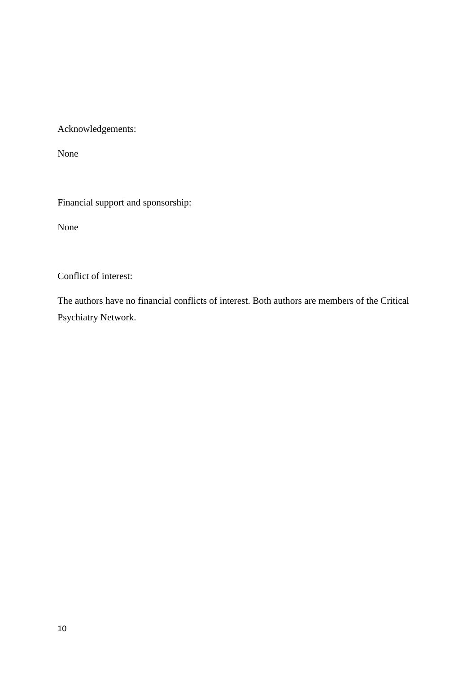Acknowledgements:

None

Financial support and sponsorship:

None

Conflict of interest:

The authors have no financial conflicts of interest. Both authors are members of the Critical Psychiatry Network.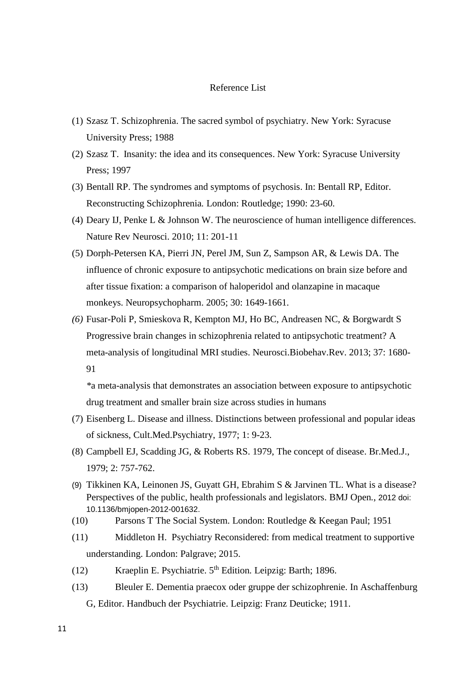## Reference List

- (1) Szasz T. Schizophrenia. The sacred symbol of psychiatry. New York: Syracuse University Press; 1988
- (2) Szasz T. Insanity: the idea and its consequences. New York: Syracuse University Press; 1997
- (3) Bentall RP. The syndromes and symptoms of psychosis. In: Bentall RP, Editor. Reconstructing Schizophrenia*.* London: Routledge; 1990: 23-60.
- (4) Deary IJ, Penke L & Johnson W. The neuroscience of human intelligence differences. Nature Rev Neurosci. 2010; 11: 201-11
- (5) Dorph-Petersen KA, Pierri JN, Perel JM, Sun Z, Sampson AR, & Lewis DA. The influence of chronic exposure to antipsychotic medications on brain size before and after tissue fixation: a comparison of haloperidol and olanzapine in macaque monkeys. Neuropsychopharm. 2005; 30: 1649-1661.
- *(6)* Fusar-Poli P, Smieskova R, Kempton MJ, Ho BC, Andreasen NC, & Borgwardt S Progressive brain changes in schizophrenia related to antipsychotic treatment? A meta-analysis of longitudinal MRI studies. Neurosci.Biobehav.Rev. 2013; 37: 1680- 91

*\**a meta-analysis that demonstrates an association between exposure to antipsychotic drug treatment and smaller brain size across studies in humans

- (7) Eisenberg L. Disease and illness. Distinctions between professional and popular ideas of sickness, Cult.Med.Psychiatry, 1977; 1: 9-23.
- (8) Campbell EJ, Scadding JG, & Roberts RS. 1979, The concept of disease. Br.Med.J., 1979; 2: 757-762.
- (9) Tikkinen KA, Leinonen JS, Guyatt GH, Ebrahim S & Jarvinen TL. What is a disease? Perspectives of the public, health professionals and legislators. BMJ Open*.*, 2012 doi: 10.1136/bmjopen-2012-001632.
- (10) Parsons T The Social System. London: Routledge & Keegan Paul; 1951
- (11) Middleton H. Psychiatry Reconsidered: from medical treatment to supportive understanding. London: Palgrave; 2015.
- (12) Kraeplin E. Psychiatrie. 5th Edition*.* Leipzig: Barth; 1896.
- (13) Bleuler E. Dementia praecox oder gruppe der schizophrenie. In Aschaffenburg G, Editor. Handbuch der Psychiatrie. Leipzig: Franz Deuticke; 1911.